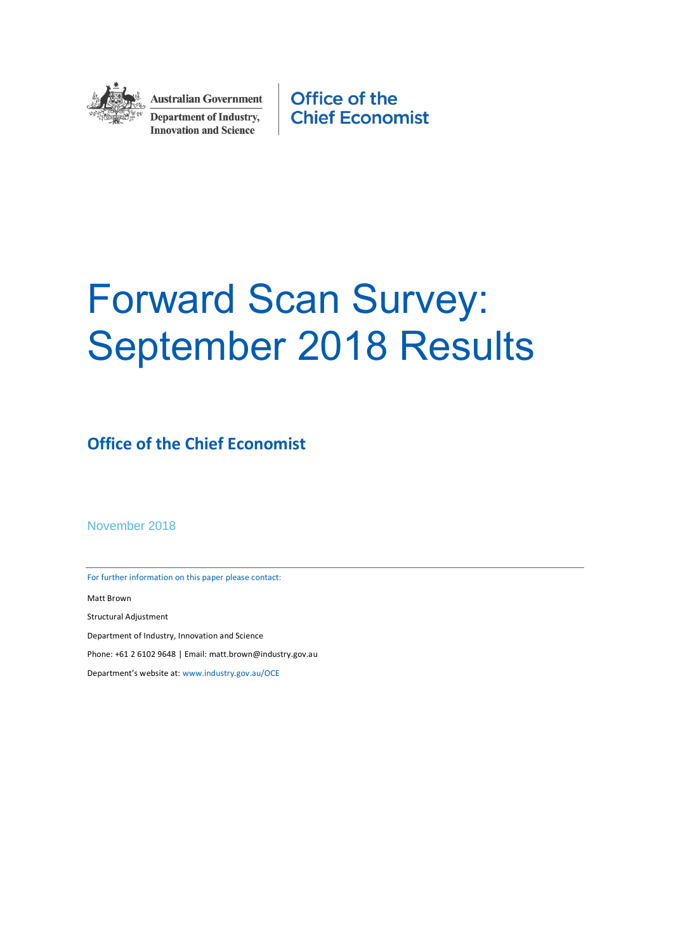

**Australian Government Department of Industry, Innovation and Science** 

Office of the **Chief Economist** 

# Forward Scan Survey: September 2018 Results

**Office of the Chief Economist**

November 2018

For further information on this paper please contact:

Matt Brown

Structural Adjustment

Department of Industry, Innovation and Science

Phone: +61 2 6102 9648 | Email: matt.brown@industry.gov.au

Department's website at: [www.industry.gov.au/OCE](http://www.industry.gov.au/OCE)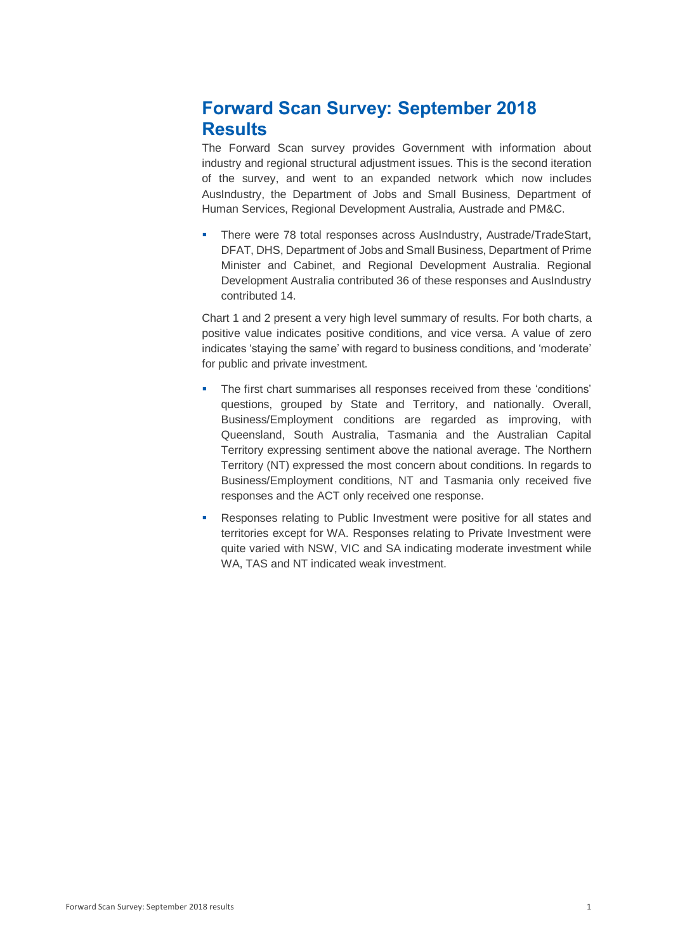# **Forward Scan Survey: September 2018 Results**

The Forward Scan survey provides Government with information about industry and regional structural adjustment issues. This is the second iteration of the survey, and went to an expanded network which now includes AusIndustry, the Department of Jobs and Small Business, Department of Human Services, Regional Development Australia, Austrade and PM&C.

 There were 78 total responses across AusIndustry, Austrade/TradeStart, DFAT, DHS, Department of Jobs and Small Business, Department of Prime Minister and Cabinet, and Regional Development Australia. Regional Development Australia contributed 36 of these responses and AusIndustry contributed 14.

Chart 1 and 2 present a very high level summary of results. For both charts, a positive value indicates positive conditions, and vice versa. A value of zero indicates 'staying the same' with regard to business conditions, and 'moderate' for public and private investment.

- **The first chart summarises all responses received from these 'conditions'** questions, grouped by State and Territory, and nationally. Overall, Business/Employment conditions are regarded as improving, with Queensland, South Australia, Tasmania and the Australian Capital Territory expressing sentiment above the national average. The Northern Territory (NT) expressed the most concern about conditions. In regards to Business/Employment conditions, NT and Tasmania only received five responses and the ACT only received one response.
- Responses relating to Public Investment were positive for all states and territories except for WA. Responses relating to Private Investment were quite varied with NSW, VIC and SA indicating moderate investment while WA, TAS and NT indicated weak investment.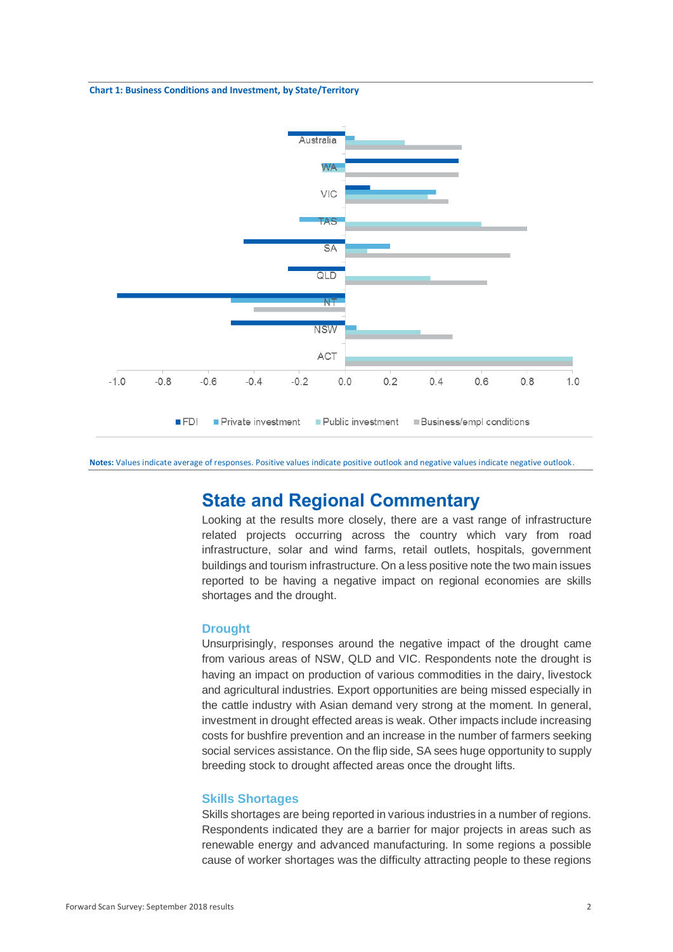#### **Chart 1: Business Conditions and Investment, by State/Territory**



**Notes:** Values indicate average of responses. Positive values indicate positive outlook and negative values indicate negative outlook.

# **State and Regional Commentary**

Looking at the results more closely, there are a vast range of infrastructure related projects occurring across the country which vary from road infrastructure, solar and wind farms, retail outlets, hospitals, government buildings and tourism infrastructure. On a less positive note the two main issues reported to be having a negative impact on regional economies are skills shortages and the drought.

#### **Drought**

Unsurprisingly, responses around the negative impact of the drought came from various areas of NSW, QLD and VIC. Respondents note the drought is having an impact on production of various commodities in the dairy, livestock and agricultural industries. Export opportunities are being missed especially in the cattle industry with Asian demand very strong at the moment. In general, investment in drought effected areas is weak. Other impacts include increasing costs for bushfire prevention and an increase in the number of farmers seeking social services assistance. On the flip side, SA sees huge opportunity to supply breeding stock to drought affected areas once the drought lifts.

## **Skills Shortages**

Skills shortages are being reported in various industries in a number of regions. Respondents indicated they are a barrier for major projects in areas such as renewable energy and advanced manufacturing. In some regions a possible cause of worker shortages was the difficulty attracting people to these regions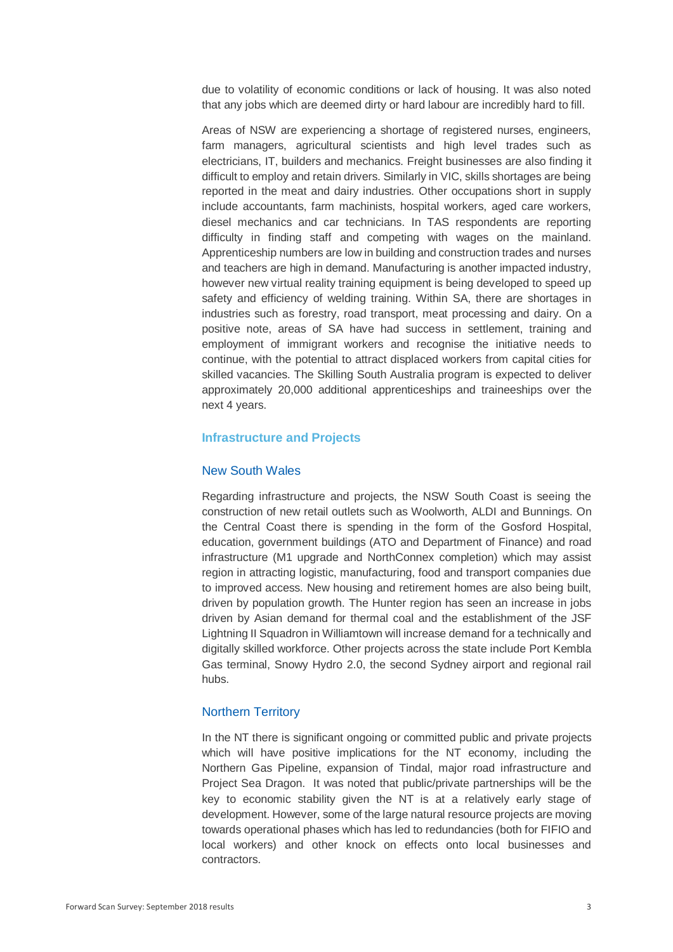due to volatility of economic conditions or lack of housing. It was also noted that any jobs which are deemed dirty or hard labour are incredibly hard to fill.

Areas of NSW are experiencing a shortage of registered nurses, engineers, farm managers, agricultural scientists and high level trades such as electricians, IT, builders and mechanics. Freight businesses are also finding it difficult to employ and retain drivers. Similarly in VIC, skills shortages are being reported in the meat and dairy industries. Other occupations short in supply include accountants, farm machinists, hospital workers, aged care workers, diesel mechanics and car technicians. In TAS respondents are reporting difficulty in finding staff and competing with wages on the mainland. Apprenticeship numbers are low in building and construction trades and nurses and teachers are high in demand. Manufacturing is another impacted industry, however new virtual reality training equipment is being developed to speed up safety and efficiency of welding training. Within SA, there are shortages in industries such as forestry, road transport, meat processing and dairy. On a positive note, areas of SA have had success in settlement, training and employment of immigrant workers and recognise the initiative needs to continue, with the potential to attract displaced workers from capital cities for skilled vacancies. The Skilling South Australia program is expected to deliver approximately 20,000 additional apprenticeships and traineeships over the next 4 years.

#### **Infrastructure and Projects**

## New South Wales

Regarding infrastructure and projects, the NSW South Coast is seeing the construction of new retail outlets such as Woolworth, ALDI and Bunnings. On the Central Coast there is spending in the form of the Gosford Hospital, education, government buildings (ATO and Department of Finance) and road infrastructure (M1 upgrade and NorthConnex completion) which may assist region in attracting logistic, manufacturing, food and transport companies due to improved access. New housing and retirement homes are also being built, driven by population growth. The Hunter region has seen an increase in jobs driven by Asian demand for thermal coal and the establishment of the JSF Lightning II Squadron in Williamtown will increase demand for a technically and digitally skilled workforce. Other projects across the state include Port Kembla Gas terminal, Snowy Hydro 2.0, the second Sydney airport and regional rail hubs.

## Northern Territory

In the NT there is significant ongoing or committed public and private projects which will have positive implications for the NT economy, including the Northern Gas Pipeline, expansion of Tindal, major road infrastructure and Project Sea Dragon. It was noted that public/private partnerships will be the key to economic stability given the NT is at a relatively early stage of development. However, some of the large natural resource projects are moving towards operational phases which has led to redundancies (both for FIFIO and local workers) and other knock on effects onto local businesses and contractors.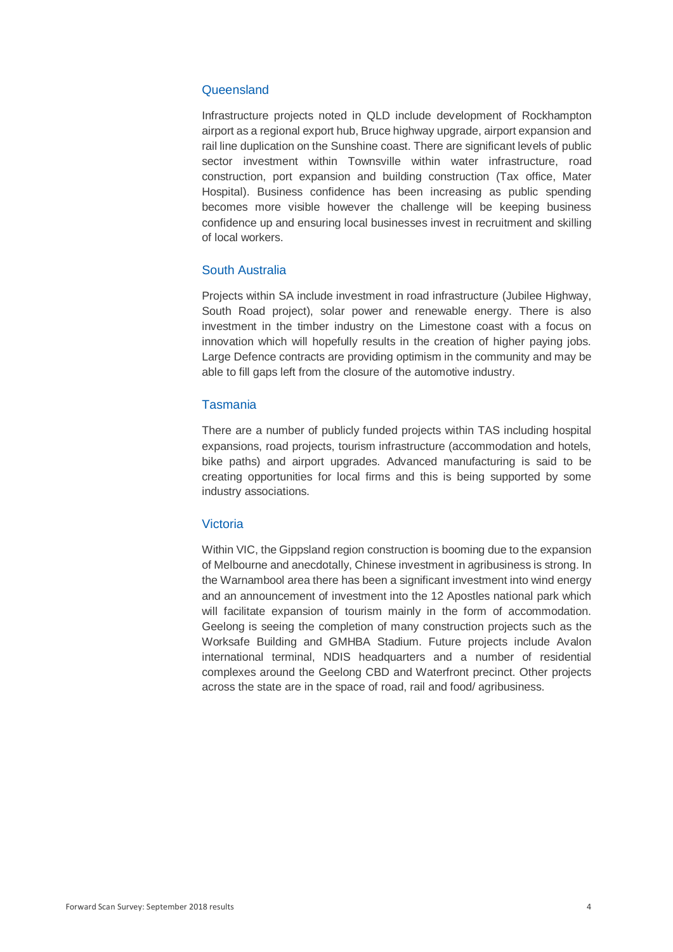## **Queensland**

Infrastructure projects noted in QLD include development of Rockhampton airport as a regional export hub, Bruce highway upgrade, airport expansion and rail line duplication on the Sunshine coast. There are significant levels of public sector investment within Townsville within water infrastructure, road construction, port expansion and building construction (Tax office, Mater Hospital). Business confidence has been increasing as public spending becomes more visible however the challenge will be keeping business confidence up and ensuring local businesses invest in recruitment and skilling of local workers.

### South Australia

Projects within SA include investment in road infrastructure (Jubilee Highway, South Road project), solar power and renewable energy. There is also investment in the timber industry on the Limestone coast with a focus on innovation which will hopefully results in the creation of higher paying jobs. Large Defence contracts are providing optimism in the community and may be able to fill gaps left from the closure of the automotive industry.

#### Tasmania

There are a number of publicly funded projects within TAS including hospital expansions, road projects, tourism infrastructure (accommodation and hotels, bike paths) and airport upgrades. Advanced manufacturing is said to be creating opportunities for local firms and this is being supported by some industry associations.

#### Victoria

Within VIC, the Gippsland region construction is booming due to the expansion of Melbourne and anecdotally, Chinese investment in agribusiness is strong. In the Warnambool area there has been a significant investment into wind energy and an announcement of investment into the 12 Apostles national park which will facilitate expansion of tourism mainly in the form of accommodation. Geelong is seeing the completion of many construction projects such as the Worksafe Building and GMHBA Stadium. Future projects include Avalon international terminal, NDIS headquarters and a number of residential complexes around the Geelong CBD and Waterfront precinct. Other projects across the state are in the space of road, rail and food/ agribusiness.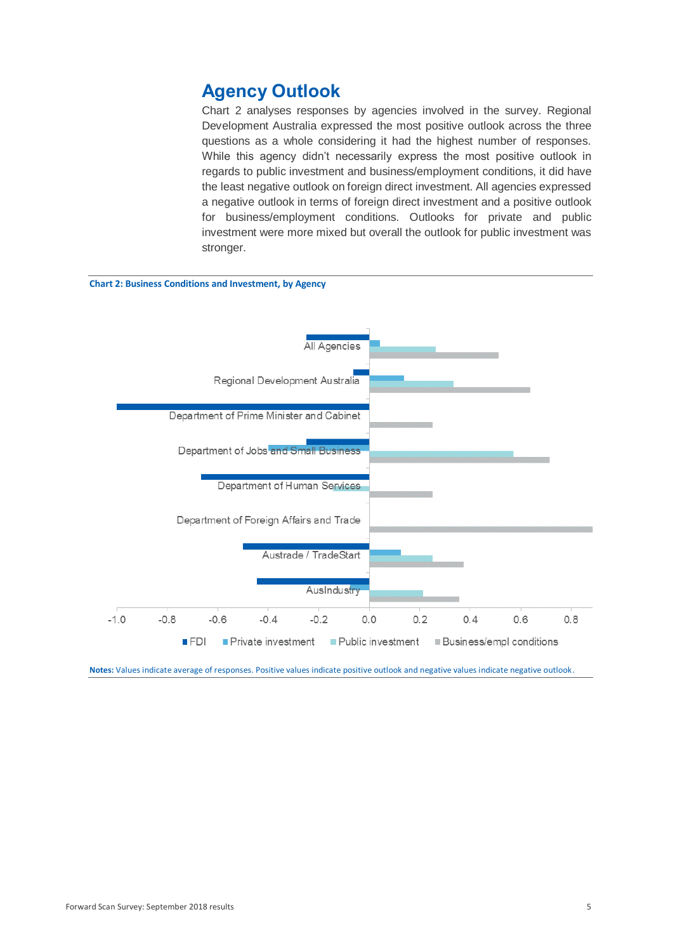# **Agency Outlook**

Chart 2 analyses responses by agencies involved in the survey. Regional Development Australia expressed the most positive outlook across the three questions as a whole considering it had the highest number of responses. While this agency didn't necessarily express the most positive outlook in regards to public investment and business/employment conditions, it did have the least negative outlook on foreign direct investment. All agencies expressed a negative outlook in terms of foreign direct investment and a positive outlook for business/employment conditions. Outlooks for private and public investment were more mixed but overall the outlook for public investment was stronger.



**Notes:** Values indicate average of responses. Positive values indicate positive outlook and negative values indicate negative outlook.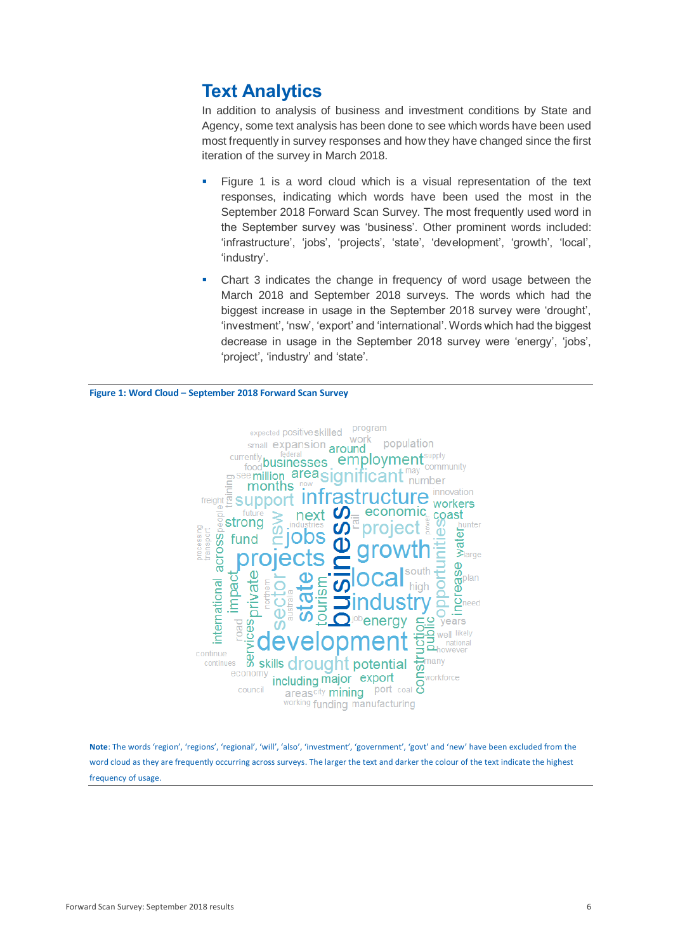# **Text Analytics**

In addition to analysis of business and investment conditions by State and Agency, some text analysis has been done to see which words have been used most frequently in survey responses and how they have changed since the first iteration of the survey in March 2018.

- Figure 1 is a word cloud which is a visual representation of the text responses, indicating which words have been used the most in the September 2018 Forward Scan Survey. The most frequently used word in the September survey was 'business'. Other prominent words included: 'infrastructure', 'jobs', 'projects', 'state', 'development', 'growth', 'local', 'industry'.
- Chart 3 indicates the change in frequency of word usage between the March 2018 and September 2018 surveys. The words which had the biggest increase in usage in the September 2018 survey were 'drought', 'investment', 'nsw', 'export' and 'international'. Words which had the biggest decrease in usage in the September 2018 survey were 'energy', 'jobs', 'project', 'industry' and 'state'.

#### **Figure 1: Word Cloud – September 2018 Forward Scan Survey**



**Note**: The words 'region', 'regions', 'regional', 'will', 'also', 'investment', 'government', 'govt' and 'new' have been excluded from the word cloud as they are frequently occurring across surveys. The larger the text and darker the colour of the text indicate the highest frequency of usage.